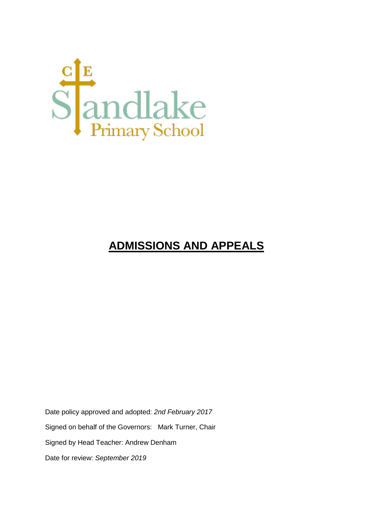

# **ADMISSIONS AND APPEALS**

Date policy approved and adopted: *2nd February 2017* Signed on behalf of the Governors: Mark Turner, Chair Signed by Head Teacher: Andrew Denham Date for review: *September 2019*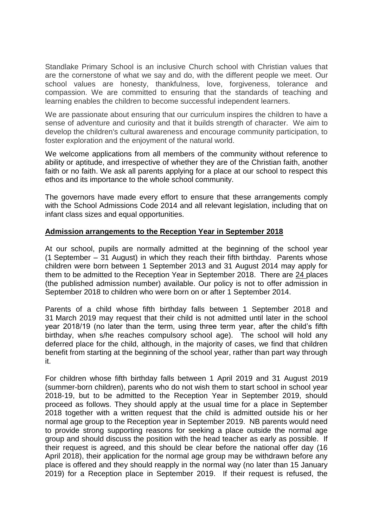Standlake Primary School is an inclusive Church school with Christian values that are the cornerstone of what we say and do, with the different people we meet. Our school values are honesty, thankfulness, love, forgiveness, tolerance and compassion. We are committed to ensuring that the standards of teaching and learning enables the children to become successful independent learners.

We are passionate about ensuring that our curriculum inspires the children to have a sense of adventure and curiosity and that it builds strength of character. We aim to develop the children's cultural awareness and encourage community participation, to foster exploration and the enjoyment of the natural world.

We welcome applications from all members of the community without reference to ability or aptitude, and irrespective of whether they are of the Christian faith, another faith or no faith. We ask all parents applying for a place at our school to respect this ethos and its importance to the whole school community.

The governors have made every effort to ensure that these arrangements comply with the School Admissions Code 2014 and all relevant legislation, including that on infant class sizes and equal opportunities.

#### **Admission arrangements to the Reception Year in September 2018**

At our school, pupils are normally admitted at the beginning of the school year (1 September – 31 August) in which they reach their fifth birthday. Parents whose children were born between 1 September 2013 and 31 August 2014 may apply for them to be admitted to the Reception Year in September 2018. There are 24 places (the published admission number) available. Our policy is not to offer admission in September 2018 to children who were born on or after 1 September 2014.

Parents of a child whose fifth birthday falls between 1 September 2018 and 31 March 2019 may request that their child is not admitted until later in the school year 2018/19 (no later than the term, using three term year, after the child's fifth birthday, when s/he reaches compulsory school age). The school will hold any deferred place for the child, although, in the majority of cases, we find that children benefit from starting at the beginning of the school year, rather than part way through it.

For children whose fifth birthday falls between 1 April 2019 and 31 August 2019 (summer-born children), parents who do not wish them to start school in school year 2018-19, but to be admitted to the Reception Year in September 2019, should proceed as follows. They should apply at the usual time for a place in September 2018 together with a written request that the child is admitted outside his or her normal age group to the Reception year in September 2019. NB parents would need to provide strong supporting reasons for seeking a place outside the normal age group and should discuss the position with the head teacher as early as possible. If their request is agreed, and this should be clear before the national offer day (16 April 2018), their application for the normal age group may be withdrawn before any place is offered and they should reapply in the normal way (no later than 15 January 2019) for a Reception place in September 2019. If their request is refused, the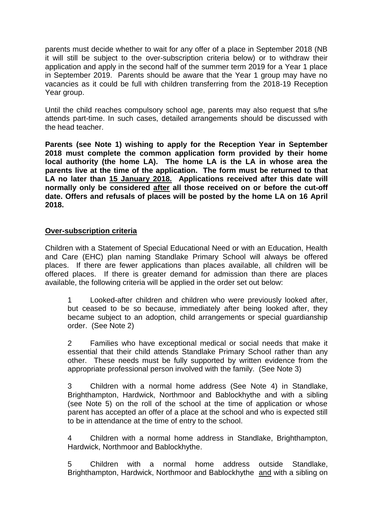parents must decide whether to wait for any offer of a place in September 2018 (NB it will still be subject to the over-subscription criteria below) or to withdraw their application and apply in the second half of the summer term 2019 for a Year 1 place in September 2019. Parents should be aware that the Year 1 group may have no vacancies as it could be full with children transferring from the 2018-19 Reception Year group.

Until the child reaches compulsory school age, parents may also request that s/he attends part-time. In such cases, detailed arrangements should be discussed with the head teacher.

**Parents (see Note 1) wishing to apply for the Reception Year in September 2018 must complete the common application form provided by their home local authority (the home LA). The home LA is the LA in whose area the parents live at the time of the application. The form must be returned to that LA no later than 15 January 2018. Applications received after this date will normally only be considered after all those received on or before the cut-off date. Offers and refusals of places will be posted by the home LA on 16 April 2018.**

#### **Over-subscription criteria**

Children with a Statement of Special Educational Need or with an Education, Health and Care (EHC) plan naming Standlake Primary School will always be offered places. If there are fewer applications than places available, all children will be offered places. If there is greater demand for admission than there are places available, the following criteria will be applied in the order set out below:

1 Looked-after children and children who were previously looked after, but ceased to be so because, immediately after being looked after, they became subject to an adoption, child arrangements or special guardianship order. (See Note 2)

2 Families who have exceptional medical or social needs that make it essential that their child attends Standlake Primary School rather than any other. These needs must be fully supported by written evidence from the appropriate professional person involved with the family. (See Note 3)

3 Children with a normal home address (See Note 4) in Standlake, Brighthampton, Hardwick, Northmoor and Bablockhythe and with a sibling (see Note 5) on the roll of the school at the time of application or whose parent has accepted an offer of a place at the school and who is expected still to be in attendance at the time of entry to the school.

4 Children with a normal home address in Standlake, Brighthampton, Hardwick, Northmoor and Bablockhythe.

5 Children with a normal home address outside Standlake, Brighthampton, Hardwick, Northmoor and Bablockhythe and with a sibling on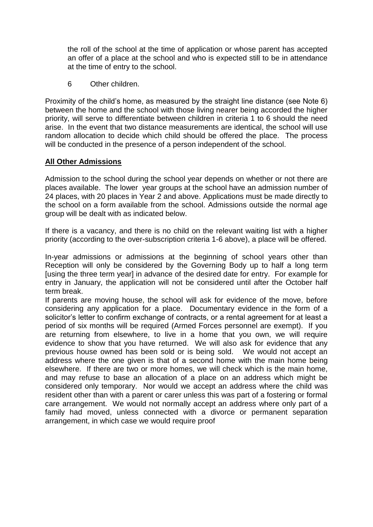the roll of the school at the time of application or whose parent has accepted an offer of a place at the school and who is expected still to be in attendance at the time of entry to the school.

6 Other children.

Proximity of the child's home, as measured by the straight line distance (see Note 6) between the home and the school with those living nearer being accorded the higher priority, will serve to differentiate between children in criteria 1 to 6 should the need arise. In the event that two distance measurements are identical, the school will use random allocation to decide which child should be offered the place. The process will be conducted in the presence of a person independent of the school.

## **All Other Admissions**

Admission to the school during the school year depends on whether or not there are places available. The lower year groups at the school have an admission number of 24 places, with 20 places in Year 2 and above. Applications must be made directly to the school on a form available from the school. Admissions outside the normal age group will be dealt with as indicated below.

If there is a vacancy, and there is no child on the relevant waiting list with a higher priority (according to the over-subscription criteria 1-6 above), a place will be offered.

In-year admissions or admissions at the beginning of school years other than Reception will only be considered by the Governing Body up to half a long term [using the three term year] in advance of the desired date for entry. For example for entry in January, the application will not be considered until after the October half term break.

If parents are moving house, the school will ask for evidence of the move, before considering any application for a place. Documentary evidence in the form of a solicitor's letter to confirm exchange of contracts, or a rental agreement for at least a period of six months will be required (Armed Forces personnel are exempt). If you are returning from elsewhere, to live in a home that you own, we will require evidence to show that you have returned. We will also ask for evidence that any previous house owned has been sold or is being sold. We would not accept an address where the one given is that of a second home with the main home being elsewhere. If there are two or more homes, we will check which is the main home, and may refuse to base an allocation of a place on an address which might be considered only temporary. Nor would we accept an address where the child was resident other than with a parent or carer unless this was part of a fostering or formal care arrangement. We would not normally accept an address where only part of a family had moved, unless connected with a divorce or permanent separation arrangement, in which case we would require proof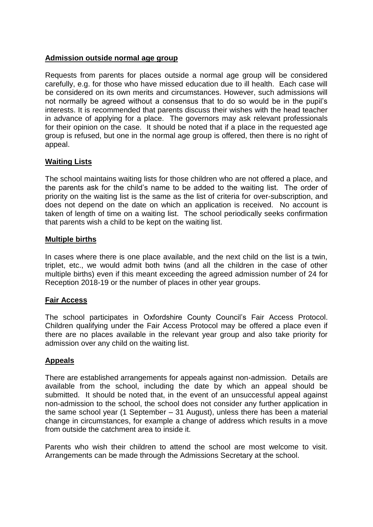#### **Admission outside normal age group**

Requests from parents for places outside a normal age group will be considered carefully, e.g. for those who have missed education due to ill health. Each case will be considered on its own merits and circumstances. However, such admissions will not normally be agreed without a consensus that to do so would be in the pupil's interests. It is recommended that parents discuss their wishes with the head teacher in advance of applying for a place. The governors may ask relevant professionals for their opinion on the case. It should be noted that if a place in the requested age group is refused, but one in the normal age group is offered, then there is no right of appeal.

# **Waiting Lists**

The school maintains waiting lists for those children who are not offered a place, and the parents ask for the child's name to be added to the waiting list. The order of priority on the waiting list is the same as the list of criteria for over-subscription, and does not depend on the date on which an application is received. No account is taken of length of time on a waiting list. The school periodically seeks confirmation that parents wish a child to be kept on the waiting list.

#### **Multiple births**

In cases where there is one place available, and the next child on the list is a twin, triplet, etc., we would admit both twins (and all the children in the case of other multiple births) even if this meant exceeding the agreed admission number of 24 for Reception 2018-19 or the number of places in other year groups.

#### **Fair Access**

The school participates in Oxfordshire County Council's Fair Access Protocol. Children qualifying under the Fair Access Protocol may be offered a place even if there are no places available in the relevant year group and also take priority for admission over any child on the waiting list.

# **Appeals**

There are established arrangements for appeals against non-admission. Details are available from the school, including the date by which an appeal should be submitted. It should be noted that, in the event of an unsuccessful appeal against non-admission to the school, the school does not consider any further application in the same school year (1 September – 31 August), unless there has been a material change in circumstances, for example a change of address which results in a move from outside the catchment area to inside it.

Parents who wish their children to attend the school are most welcome to visit. Arrangements can be made through the Admissions Secretary at the school.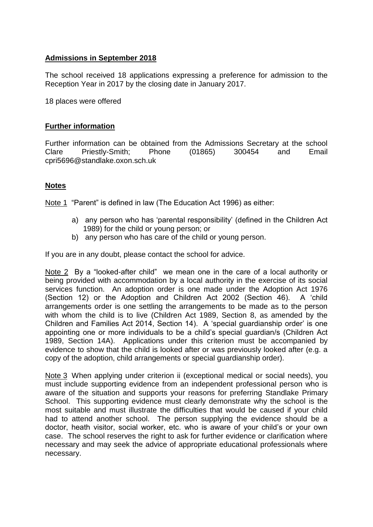## **Admissions in September 2018**

The school received 18 applications expressing a preference for admission to the Reception Year in 2017 by the closing date in January 2017.

18 places were offered

#### **Further information**

Further information can be obtained from the Admissions Secretary at the school Clare Priestly-Smith; Phone (01865) 300454 and Email cpri5696@standlake.oxon.sch.uk

#### **Notes**

Note 1 "Parent" is defined in law (The Education Act 1996) as either:

- a) any person who has 'parental responsibility' (defined in the Children Act 1989) for the child or young person; or
- b) any person who has care of the child or young person.

If you are in any doubt, please contact the school for advice.

Note 2 By a "looked-after child" we mean one in the care of a local authority or being provided with accommodation by a local authority in the exercise of its social services function. An adoption order is one made under the Adoption Act 1976 (Section 12) or the Adoption and Children Act 2002 (Section 46). A 'child arrangements order is one settling the arrangements to be made as to the person with whom the child is to live (Children Act 1989, Section 8, as amended by the Children and Families Act 2014, Section 14). A 'special guardianship order' is one appointing one or more individuals to be a child's special guardian/s (Children Act 1989, Section 14A). Applications under this criterion must be accompanied by evidence to show that the child is looked after or was previously looked after (e.g. a copy of the adoption, child arrangements or special guardianship order).

Note 3 When applying under criterion ii (exceptional medical or social needs), you must include supporting evidence from an independent professional person who is aware of the situation and supports your reasons for preferring Standlake Primary School. This supporting evidence must clearly demonstrate why the school is the most suitable and must illustrate the difficulties that would be caused if your child had to attend another school. The person supplying the evidence should be a doctor, heath visitor, social worker, etc. who is aware of your child's or your own case. The school reserves the right to ask for further evidence or clarification where necessary and may seek the advice of appropriate educational professionals where necessary.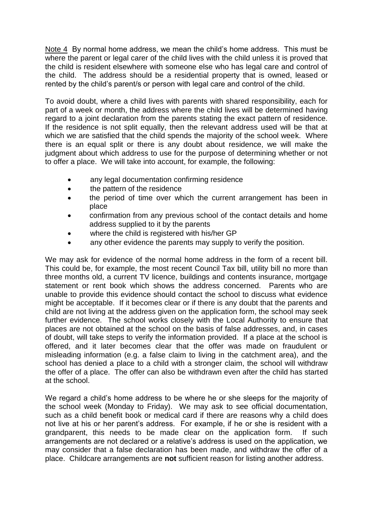Note 4 By normal home address, we mean the child's home address. This must be where the parent or legal carer of the child lives with the child unless it is proved that the child is resident elsewhere with someone else who has legal care and control of the child. The address should be a residential property that is owned, leased or rented by the child's parent/s or person with legal care and control of the child.

To avoid doubt, where a child lives with parents with shared responsibility, each for part of a week or month, the address where the child lives will be determined having regard to a joint declaration from the parents stating the exact pattern of residence. If the residence is not split equally, then the relevant address used will be that at which we are satisfied that the child spends the majority of the school week. Where there is an equal split or there is any doubt about residence, we will make the judgment about which address to use for the purpose of determining whether or not to offer a place. We will take into account, for example, the following:

- any legal documentation confirming residence
- the pattern of the residence
- the period of time over which the current arrangement has been in place
- confirmation from any previous school of the contact details and home address supplied to it by the parents
- where the child is registered with his/her GP
- any other evidence the parents may supply to verify the position.

We may ask for evidence of the normal home address in the form of a recent bill. This could be, for example, the most recent Council Tax bill, utility bill no more than three months old, a current TV licence, buildings and contents insurance, mortgage statement or rent book which shows the address concerned. Parents who are unable to provide this evidence should contact the school to discuss what evidence might be acceptable. If it becomes clear or if there is any doubt that the parents and child are not living at the address given on the application form, the school may seek further evidence. The school works closely with the Local Authority to ensure that places are not obtained at the school on the basis of false addresses, and, in cases of doubt, will take steps to verify the information provided. If a place at the school is offered, and it later becomes clear that the offer was made on fraudulent or misleading information (e.g. a false claim to living in the catchment area), and the school has denied a place to a child with a stronger claim, the school will withdraw the offer of a place. The offer can also be withdrawn even after the child has started at the school.

We regard a child's home address to be where he or she sleeps for the majority of the school week (Monday to Friday). We may ask to see official documentation, such as a child benefit book or medical card if there are reasons why a child does not live at his or her parent's address. For example, if he or she is resident with a grandparent, this needs to be made clear on the application form. If such arrangements are not declared or a relative's address is used on the application, we may consider that a false declaration has been made, and withdraw the offer of a place. Childcare arrangements are **not** sufficient reason for listing another address.